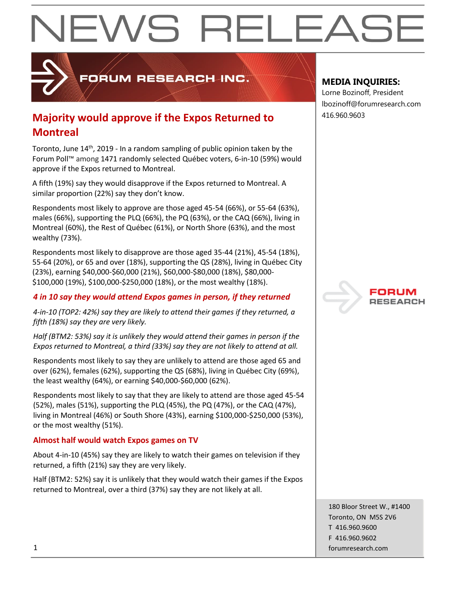

ORUM RESEARCH INC.

## **Majority would approve if the Expos Returned to**  $416.960.9603$ **Montreal**

Toronto, June 14<sup>th</sup>, 2019 - In a random sampling of public opinion taken by the Forum Poll™ among 1471 randomly selected Québec voters, 6-in-10 (59%) would approve if the Expos returned to Montreal.

A fifth (19%) say they would disapprove if the Expos returned to Montreal. A similar proportion (22%) say they don't know.

Respondents most likely to approve are those aged 45-54 (66%), or 55-64 (63%), males (66%), supporting the PLQ (66%), the PQ (63%), or the CAQ (66%), living in Montreal (60%), the Rest of Québec (61%), or North Shore (63%), and the most wealthy (73%).

Respondents most likely to disapprove are those aged 35-44 (21%), 45-54 (18%), 55-64 (20%), or 65 and over (18%), supporting the QS (28%), living in Québec City (23%), earning \$40,000-\$60,000 (21%), \$60,000-\$80,000 (18%), \$80,000- \$100,000 (19%), \$100,000-\$250,000 (18%), or the most wealthy (18%).

## *4 in 10 say they would attend Expos games in person, if they returned*

*4-in-10 (TOP2: 42%) say they are likely to attend their games if they returned, a fifth (18%) say they are very likely.*

*Half (BTM2: 53%) say it is unlikely they would attend their games in person if the Expos returned to Montreal, a third (33%) say they are not likely to attend at all.* 

Respondents most likely to say they are unlikely to attend are those aged 65 and over (62%), females (62%), supporting the QS (68%), living in Québec City (69%), the least wealthy (64%), or earning \$40,000-\$60,000 (62%).

Respondents most likely to say that they are likely to attend are those aged 45-54 (52%), males (51%), supporting the PLQ (45%), the PQ (47%), or the CAQ (47%), living in Montreal (46%) or South Shore (43%), earning \$100,000-\$250,000 (53%), or the most wealthy (51%).

### **Almost half would watch Expos games on TV**

About 4-in-10 (45%) say they are likely to watch their games on television if they returned, a fifth (21%) say they are very likely.

Half (BTM2: 52%) say it is unlikely that they would watch their games if the Expos returned to Montreal, over a third (37%) say they are not likely at all.

## **MEDIA INQUIRIES:**

Lorne Bozinoff, President lbozinoff@forumresearch.com



180 Bloor Street W., #1400 Toronto, ON M5S 2V6 T 416.960.9600 F 416.960.9602 1 forumresearch.com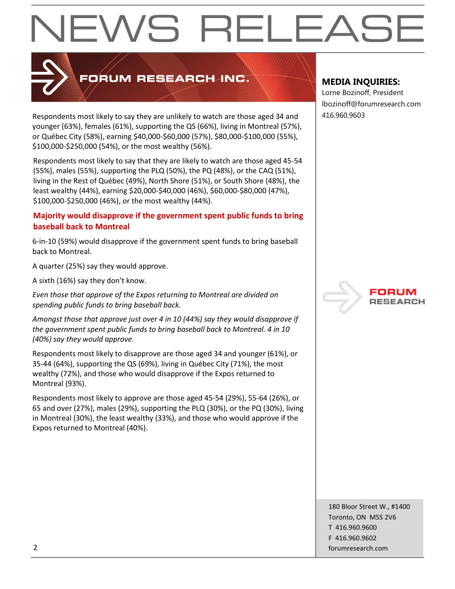

## **PORUM RESEARCH INC.**

Respondents most likely to say they are unlikely to watch are those aged 34 and  $\vert$  416.960.9603 younger (63%), females (61%), supporting the QS (66%), living in Montreal (57%), or Québec City (58%), earning \$40,000-\$60,000 (57%), \$80,000-\$100,000 (55%), \$100,000-\$250,000 (54%), or the most wealthy (56%).

Respondents most likely to say that they are likely to watch are those aged 45-54 (55%), males (55%), supporting the PLQ (50%), the PQ (48%), or the CAQ (51%), living in the Rest of Québec (49%), North Shore (51%), or South Shore (48%), the least wealthy (44%), earning \$20,000-\$40,000 (46%), \$60,000-\$80,000 (47%), \$100,000-\$250,000 (46%), or the most wealthy (44%).

### **Majority would disapprove if the government spent public funds to bring baseball back to Montreal**

6-in-10 (59%) would disapprove if the government spent funds to bring baseball back to Montreal.

A quarter (25%) say they would approve.

A sixth (16%) say they don't know.

*Even those that approve of the Expos returning to Montreal are divided on spending public funds to bring baseball back.*

*Amongst those that approve just over 4 in 10 (44%) say they would disapprove if the government spent public funds to bring baseball back to Montreal. 4 in 10 (40%) say they would approve.*

Respondents most likely to disapprove are those aged 34 and younger (61%), or 35-44 (64%), supporting the QS (69%), living in Québec City (71%), the most wealthy (72%), and those who would disapprove if the Expos returned to Montreal (93%).

Respondents most likely to approve are those aged 45-54 (29%), 55-64 (26%), or 65 and over (27%), males (29%), supporting the PLQ (30%), or the PQ (30%), living in Montreal (30%), the least wealthy (33%), and those who would approve if the Expos returned to Montreal (40%).

## **MEDIA INQUIRIES:**

Lorne Bozinoff, President lbozinoff@forumresearch.com



180 Bloor Street W., #1400 Toronto, ON M5S 2V6 T 416.960.9600 F 416.960.9602 2 forumresearch.com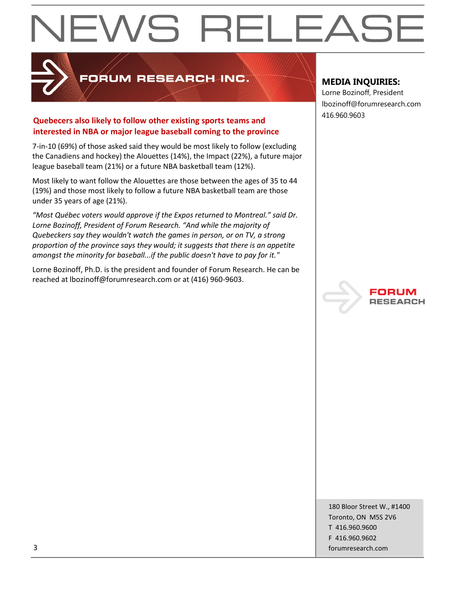

## FORUM RESEARCH INC.

## 416.960.9603 **Quebecers also likely to follow other existing sports teams and interested in NBA or major league baseball coming to the province**

7-in-10 (69%) of those asked said they would be most likely to follow (excluding the Canadiens and hockey) the Alouettes (14%), the Impact (22%), a future major league baseball team (21%) or a future NBA basketball team (12%).

Most likely to want follow the Alouettes are those between the ages of 35 to 44 (19%) and those most likely to follow a future NBA basketball team are those under 35 years of age (21%).

*"Most Québec voters would approve if the Expos returned to Montreal." said Dr. Lorne Bozinoff, President of Forum Research. "And while the majority of Quebeckers say they wouldn't watch the games in person, or on TV, a strong proportion of the province says they would; it suggests that there is an appetite amongst the minority for baseball...if the public doesn't have to pay for it."*

Lorne Bozinoff, Ph.D. is the president and founder of Forum Research. He can be reached at lbozinoff@forumresearch.com or at (416) 960-9603.

## **MEDIA INQUIRIES:**

Lorne Bozinoff, President lbozinoff@forumresearch.com



180 Bloor Street W., #1400 Toronto, ON M5S 2V6 T 416.960.9600 F 416.960.9602 3 forumresearch.com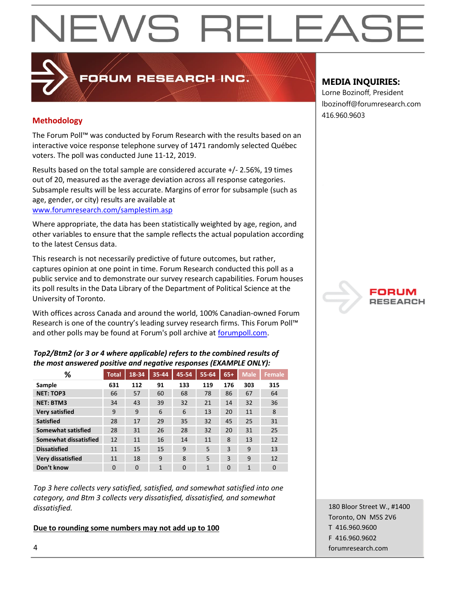## 416.960.9603 **Methodology**

The Forum Poll™ was conducted by Forum Research with the results based on an interactive voice response telephone survey of 1471 randomly selected Québec voters. The poll was conducted June 11-12, 2019.

PRUM RESEARCH INC.

Results based on the total sample are considered accurate +/- 2.56%, 19 times out of 20, measured as the average deviation across all response categories. Subsample results will be less accurate. Margins of error for subsample (such as age, gender, or city) results are available at [www.forumresearch.com/samplestim.asp](http://www.forumresearch.com/samplestim.asp)

Where appropriate, the data has been statistically weighted by age, region, and other variables to ensure that the sample reflects the actual population according to the latest Census data.

This research is not necessarily predictive of future outcomes, but rather, captures opinion at one point in time. Forum Research conducted this poll as a public service and to demonstrate our survey research capabilities. Forum houses its poll results in the Data Library of the Department of Political Science at the University of Toronto.

With offices across Canada and around the world, 100% Canadian-owned Forum Research is one of the country's leading survey research firms. This Forum Poll™ and other polls may be found at Forum's poll archive at [forumpoll.com.](file:///C:/Users/gmilakovic/Dropbox/Forum%20Poll%20Temporary/2017/November/TO/Releases/forumpoll.com)

### *Top2/Btm2 (or 3 or 4 where applicable) refers to the combined results of the most answered positive and negative responses (EXAMPLE ONLY):*

| %                            | <b>Total</b> | 18-34    | 35-44 | 45-54    | 55-64 | $65+$    | <b>Male</b> | <b>Female</b> |
|------------------------------|--------------|----------|-------|----------|-------|----------|-------------|---------------|
| Sample                       | 631          | 112      | 91    | 133      | 119   | 176      | 303         | 315           |
| <b>NET: TOP3</b>             | 66           | 57       | 60    | 68       | 78    | 86       | 67          | 64            |
| <b>NET: BTM3</b>             | 34           | 43       | 39    | 32       | 21    | 14       | 32          | 36            |
| <b>Very satisfied</b>        | 9            | 9        | 6     | 6        | 13    | 20       | 11          | 8             |
| <b>Satisfied</b>             | 28           | 17       | 29    | 35       | 32    | 45       | 25          | 31            |
| <b>Somewhat satisfied</b>    | 28           | 31       | 26    | 28       | 32    | 20       | 31          | 25            |
| <b>Somewhat dissatisfied</b> | 12           | 11       | 16    | 14       | 11    | 8        | 13          | 12            |
| <b>Dissatisfied</b>          | 11           | 15       | 15    | 9        | 5     | 3        | 9           | 13            |
| <b>Very dissatisfied</b>     | 11           | 18       | 9     | 8        | 5     | 3        | 9           | 12            |
| Don't know                   | 0            | $\Omega$ | 1     | $\Omega$ | 1     | $\Omega$ | 1           | $\Omega$      |

*Top 3 here collects very satisfied, satisfied, and somewhat satisfied into one category, and Btm 3 collects very dissatisfied, dissatisfied, and somewhat dissatisfied.* 

### **Due to rounding some numbers may not add up to 100**

## **MEDIA INQUIRIES:**

Lorne Bozinoff, President lbozinoff@forumresearch.com



180 Bloor Street W., #1400 Toronto, ON M5S 2V6 T 416.960.9600 F 416.960.9602 4 forumresearch.com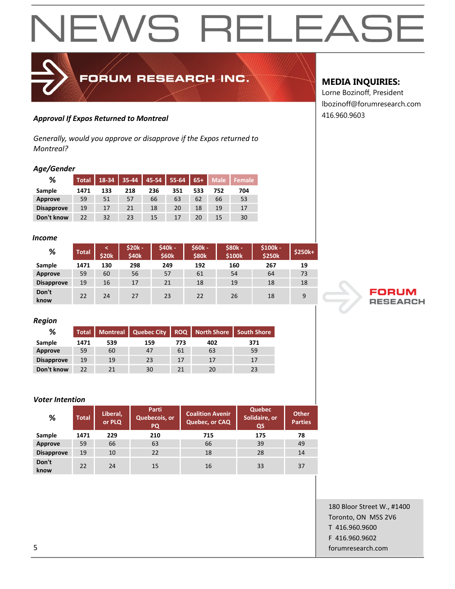## FORUM RESEARCH INC.

## 416.960.9603 *Approval If Expos Returned to Montreal*

*Generally, would you approve or disapprove if the Expos returned to Montreal?*

### *Age/Gender*

| %                 | <b>Total</b> | 18-34 | 35-44 | 45-54 | 55-64 | $65+$ | <b>Male</b> | Female |
|-------------------|--------------|-------|-------|-------|-------|-------|-------------|--------|
| Sample            | 1471         | 133   | 218   | 236   | 351   | 533   | 752         | 704    |
| Approve           | 59           | 51    | 57    | 66    | 63    | 62    | 66          | 53     |
| <b>Disapprove</b> | 19           | 17    | 21    | 18    | 20    | 18    | 19          | 17     |
| Don't know        | 22           | 32    | 23    | 15    | 17    | 20    | 15          | 30     |

#### *Income*

| %                 | <b>Total</b> | <b>\$20k</b> | $$20k -$<br>\$40k | \$40k -<br>\$60k | $$60k -$<br><b>\$80k</b> | \$80k -<br>\$100k | $$100k -$<br>\$250k | $$250k+$ |
|-------------------|--------------|--------------|-------------------|------------------|--------------------------|-------------------|---------------------|----------|
| Sample            | 1471         | 130          | 298               | 249              | 192                      | 160               | 267                 | 19       |
| Approve           | 59           | 60           | 56                | 57               | 61                       | 54                | 64                  | 73       |
| <b>Disapprove</b> | 19           | 16           | 17                | 21               | 18                       | 19                | 18                  | 18       |
| Don't<br>know     | 22           | 24           | 27                | 23               | 22                       | 26                | 18                  | 9        |

#### *Region*

| %                 | Total <sup>'</sup> |     | Montreal   Quebec City |     | <b>ROQ</b> Morth Shore | <b>South Shore</b> |
|-------------------|--------------------|-----|------------------------|-----|------------------------|--------------------|
| Sample            | 1471               | 539 | 159                    | 773 | 402                    | 371                |
| Approve           | 59                 | 60  | 47                     | 61  | 63                     | 59                 |
| <b>Disapprove</b> | 19                 | 19  | 23                     | 17  |                        | 17                 |
| Don't know        | 22                 | 21  | 30                     |     | 20                     | 23                 |

### *Voter Intention*

| %                 | <b>Total</b> | Liberal,<br>or PLQ | Parti<br>Quebecois, or<br>PQ | <b>Coalition Avenir</b><br>Quebec, or CAQ | <b>Quebec</b><br>Solidaire, or<br>QS | <b>Other</b><br><b>Parties</b> |
|-------------------|--------------|--------------------|------------------------------|-------------------------------------------|--------------------------------------|--------------------------------|
| Sample            | 1471         | 229                | 210                          | 715                                       | 175                                  | 78                             |
| Approve           | 59           | 66                 | 63                           | 66                                        | 39                                   | 49                             |
| <b>Disapprove</b> | 19           | 10                 | 22                           | 18                                        | 28                                   | 14                             |
| Don't<br>know     | 22           | 24                 | 15                           | 16                                        | 33                                   | 37                             |

### **MEDIA INQUIRIES:**

Lorne Bozinoff, President lbozinoff@forumresearch.com



180 Bloor Street W., #1400 Toronto, ON M5S 2V6 T 416.960.9600 F 416.960.9602 5 forumresearch.com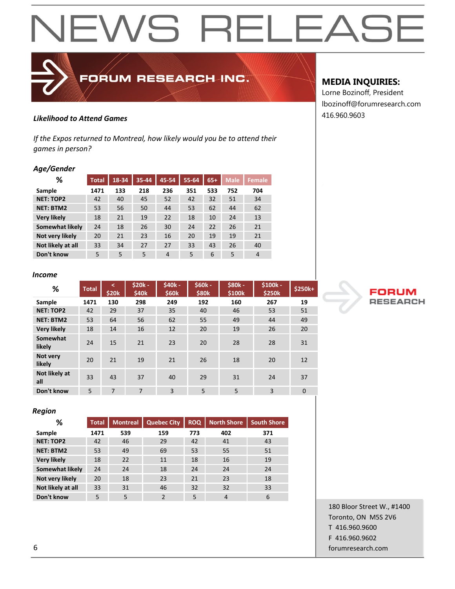

## 416.960.9603 *Likelihood to Attend Games*

*If the Expos returned to Montreal, how likely would you be to attend their games in person?*

### *Age/Gender*

| %                  | <b>Total</b> | $18 - 34$ | 35-44 | 45-54 | 55-64 | $65+$ | <b>Male</b> | <b>Female</b> |
|--------------------|--------------|-----------|-------|-------|-------|-------|-------------|---------------|
| Sample             | 1471         | 133       | 218   | 236   | 351   | 533   | 752         | 704           |
| <b>NET: TOP2</b>   | 42           | 40        | 45    | 52    | 42    | 32    | 51          | 34            |
| <b>NET: BTM2</b>   | 53           | 56        | 50    | 44    | 53    | 62    | 44          | 62            |
| <b>Very likely</b> | 18           | 21        | 19    | 22    | 18    | 10    | 24          | 13            |
| Somewhat likely    | 24           | 18        | 26    | 30    | 24    | 22    | 26          | 21            |
| Not very likely    | 20           | 21        | 23    | 16    | 20    | 19    | 19          | 21            |
| Not likely at all  | 33           | 34        | 27    | 27    | 33    | 43    | 26          | 40            |
| Don't know         | 5            | 5         | 5     | 4     | 5     | 6     | 5           | 4             |

#### *Income*

| %                    | <b>Total</b> | k<br>\$20k | $$20k -$<br>\$40k | \$40k -<br>\$60k | <b>S60k -</b><br>\$80k | <b>\$80k-</b><br>\$100k | \$100k -<br>\$250k | \$250k+      |
|----------------------|--------------|------------|-------------------|------------------|------------------------|-------------------------|--------------------|--------------|
| Sample               | 1471         | 130        | 298               | 249              | 192                    | 160                     | 267                | 19           |
| <b>NET: TOP2</b>     | 42           | 29         | 37                | 35               | 40                     | 46                      | 53                 | 51           |
| <b>NET: BTM2</b>     | 53           | 64         | 56                | 62               | 55                     | 49                      | 44                 | 49           |
| <b>Very likely</b>   | 18           | 14         | 16                | 12               | 20                     | 19                      | 26                 | 20           |
| Somewhat<br>likely   | 24           | 15         | 21                | 23               | 20                     | 28                      | 28                 | 31           |
| Not very<br>likely   | 20           | 21         | 19                | 21               | 26                     | 18                      | 20                 | 12           |
| Not likely at<br>all | 33           | 43         | 37                | 40               | 29                     | 31                      | 24                 | 37           |
| Don't know           | 5            | 7          | $\overline{7}$    | $\overline{3}$   | 5                      | 5                       | 3                  | $\mathbf{0}$ |

#### *Region*

| %                      | <b>Total</b> | <b>Montreal</b> | <b>Quebec City</b> | <b>ROQ</b> | <b>North Shore</b> | <b>South Shore</b> |
|------------------------|--------------|-----------------|--------------------|------------|--------------------|--------------------|
| Sample                 | 1471         | 539             | 159                | 773        | 402                | 371                |
| <b>NET: TOP2</b>       | 42           | 46              | 29                 | 42         | 41                 | 43                 |
| <b>NET: BTM2</b>       | 53           | 49              | 69                 | 53         | 55                 | 51                 |
| <b>Very likely</b>     | 18           | 22              | 11                 | 18         | 16                 | 19                 |
| <b>Somewhat likely</b> | 24           | 24              | 18                 | 24         | 24                 | 24                 |
| Not very likely        | 20           | 18              | 23                 | 21         | 23                 | 18                 |
| Not likely at all      | 33           | 31              | 46                 | 32         | 32                 | 33                 |
| Don't know             | 5            | 5               | $\mathcal{P}$      | 5          | $\overline{4}$     | 6                  |

### **MEDIA INQUIRIES:**

Lorne Bozinoff, President lbozinoff@forumresearch.com



180 Bloor Street W., #1400 Toronto, ON M5S 2V6 T 416.960.9600 F 416.960.9602 6 forumresearch.com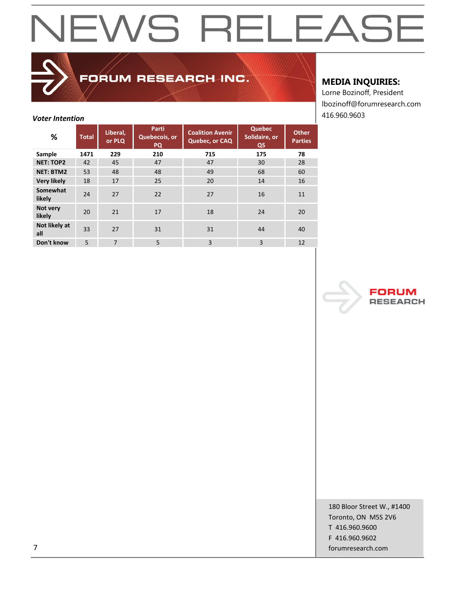## FORUM RESEARCH INC.

## **MEDIA INQUIRIES:**

Lorne Bozinoff, President lbozinoff@forumresearch.com

| <b>Voter Intention</b> |              |                    |                                     |                                           |                                      |                                |  |  |  |  |
|------------------------|--------------|--------------------|-------------------------------------|-------------------------------------------|--------------------------------------|--------------------------------|--|--|--|--|
| %                      | <b>Total</b> | Liberal,<br>or PLQ | Parti<br>Quebecois, or<br><b>PQ</b> | <b>Coalition Avenir</b><br>Quebec, or CAQ | <b>Quebec</b><br>Solidaire, or<br>QS | <b>Other</b><br><b>Parties</b> |  |  |  |  |
| Sample                 | 1471         | 229                | 210                                 | 715                                       | 175                                  | 78                             |  |  |  |  |
| <b>NET: TOP2</b>       | 42           | 45                 | 47                                  | 47                                        | 30                                   | 28                             |  |  |  |  |
| <b>NET: BTM2</b>       | 53           | 48                 | 48                                  | 49                                        | 68                                   | 60                             |  |  |  |  |
| <b>Very likely</b>     | 18           | 17                 | 25                                  | 20                                        | 14                                   | 16                             |  |  |  |  |
| Somewhat<br>likely     | 24           | 27                 | 22                                  | 27                                        | 16                                   | 11                             |  |  |  |  |
| Not very<br>likely     | 20           | 21                 | 17                                  | 18                                        | 24                                   | 20                             |  |  |  |  |
| Not likely at<br>all   | 33           | 27                 | 31                                  | 31                                        | 44                                   | 40                             |  |  |  |  |
| Don't know             | 5            | 7                  | 5                                   | 3                                         | 3                                    | 12                             |  |  |  |  |



180 Bloor Street W., #1400 Toronto, ON M5S 2V6 T 416.960.9600 F 416.960.9602 7 forumresearch.com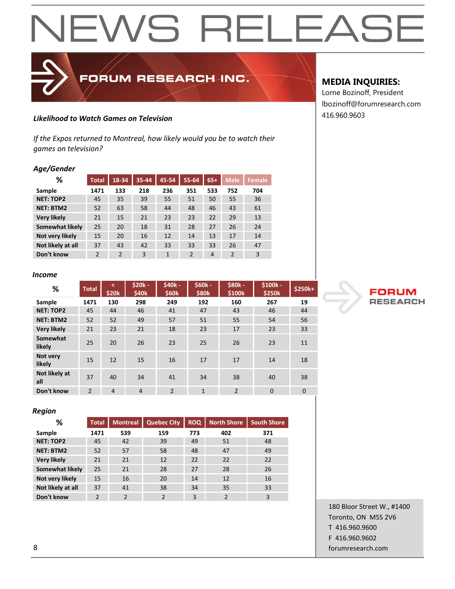## 416.960.9603 *Likelihood to Watch Games on Television*

*If the Expos returned to Montreal, how likely would you be to watch their games on television?*

FORUM RESEARCH INC.

### *Age/Gender*

| %                  | <b>Total</b>   | 18-34          | 35-44 | 45-54        | 55-64          | $65+$ | <b>Male</b>    | Female |
|--------------------|----------------|----------------|-------|--------------|----------------|-------|----------------|--------|
| Sample             | 1471           | 133            | 218   | 236          | 351            | 533   | 752            | 704    |
| <b>NET: TOP2</b>   | 45             | 35             | 39    | 55           | 51             | 50    | 55             | 36     |
| <b>NET: BTM2</b>   | 52             | 63             | 58    | 44           | 48             | 46    | 43             | 61     |
| <b>Very likely</b> | 21             | 15             | 21    | 23           | 23             | 22    | 29             | 13     |
| Somewhat likely    | 25             | 20             | 18    | 31           | 28             | 27    | 26             | 24     |
| Not very likely    | 15             | 20             | 16    | 12           | 14             | 13    | 17             | 14     |
| Not likely at all  | 37             | 43             | 42    | 33           | 33             | 33    | 26             | 47     |
| Don't know         | $\overline{2}$ | $\overline{2}$ | 3     | $\mathbf{1}$ | $\overline{2}$ | 4     | $\mathfrak{p}$ | 3      |

#### *Income*

| %                    | <b>Total</b>  | द<br>\$20 <sub>k</sub> | <b>\$20k-</b><br>\$40k | \$40k -<br>\$60k | <b>\$60k-</b><br>\$80k | <b>\$80k-</b><br>\$100k | $$100k -$<br>\$250k | \$250k+     |
|----------------------|---------------|------------------------|------------------------|------------------|------------------------|-------------------------|---------------------|-------------|
| Sample               | 1471          | 130                    | 298                    | 249              | 192                    | 160                     | 267                 | 19          |
| <b>NET: TOP2</b>     | 45            | 44                     | 46                     | 41               | 47                     | 43                      | 46                  | 44          |
| <b>NET: BTM2</b>     | 52            | 52                     | 49                     | 57               | 51                     | 55                      | 54                  | 56          |
| <b>Very likely</b>   | 21            | 23                     | 21                     | 18               | 23                     | 17                      | 23                  | 33          |
| Somewhat<br>likely   | 25            | 20                     | 26                     | 23               | 25                     | 26                      | 23                  | 11          |
| Not very<br>likely   | 15            | 12                     | 15                     | 16               | 17                     | 17                      | 14                  | 18          |
| Not likely at<br>all | 37            | 40                     | 34                     | 41               | 34                     | 38                      | 40                  | 38          |
| Don't know           | $\mathcal{P}$ | $\overline{4}$         | $\overline{4}$         | $\mathcal{P}$    | $\mathbf{1}$           | $\overline{2}$          | $\Omega$            | $\mathbf 0$ |

#### *Region*

| %                  | <b>Total</b>   | <b>Montreal</b> | <b>Quebec City</b> | <b>ROQ</b> | <b>North Shore</b> | <b>South Shore</b> |
|--------------------|----------------|-----------------|--------------------|------------|--------------------|--------------------|
| Sample             | 1471           | 539             | 159                | 773        | 402                | 371                |
| <b>NET: TOP2</b>   | 45             | 42              | 39                 | 49         | 51                 | 48                 |
| <b>NET: BTM2</b>   | 52             | 57              | 58                 | 48         | 47                 | 49                 |
| <b>Very likely</b> | 21             | 21              | 12                 | 22         | 22                 | 22                 |
| Somewhat likely    | 25             | 21              | 28                 | 27         | 28                 | 26                 |
| Not very likely    | 15             | 16              | 20                 | 14         | 12                 | 16                 |
| Not likely at all  | 37             | 41              | 38                 | 34         | 35                 | 33                 |
| Don't know         | $\mathfrak{p}$ | $\mathfrak{p}$  | $\mathcal{P}$      | 3          | $\mathcal{P}$      | 3                  |

### **MEDIA INQUIRIES:**

Lorne Bozinoff, President lbozinoff@forumresearch.com



180 Bloor Street W., #1400 Toronto, ON M5S 2V6 T 416.960.9600 F 416.960.9602 8 forumresearch.com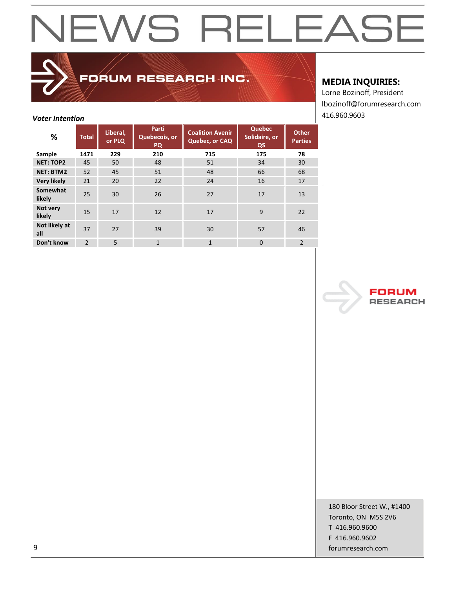## FORUM RESEARCH INC.

## **MEDIA INQUIRIES:**

Lorne Bozinoff, President lbozinoff@forumresearch.com

| <b>Voter Intention</b> |                |                    |                                     |                                           |                                      |                                | 416.960.9603 |
|------------------------|----------------|--------------------|-------------------------------------|-------------------------------------------|--------------------------------------|--------------------------------|--------------|
| %                      | <b>Total</b>   | Liberal,<br>or PLQ | Parti<br>Quebecois, or<br><b>PQ</b> | <b>Coalition Avenir</b><br>Quebec, or CAQ | <b>Quebec</b><br>Solidaire, or<br>QS | <b>Other</b><br><b>Parties</b> |              |
| Sample                 | 1471           | 229                | 210                                 | 715                                       | 175                                  | 78                             |              |
| <b>NET: TOP2</b>       | 45             | 50                 | 48                                  | 51                                        | 34                                   | 30                             |              |
| <b>NET: BTM2</b>       | 52             | 45                 | 51                                  | 48                                        | 66                                   | 68                             |              |
| <b>Very likely</b>     | 21             | 20                 | 22                                  | 24                                        | 16                                   | 17                             |              |
| Somewhat<br>likely     | 25             | 30                 | 26                                  | 27                                        | 17                                   | 13                             |              |
| Not very<br>likely     | 15             | 17                 | 12                                  | 17                                        | 9                                    | 22                             |              |
| Not likely at<br>all   | 37             | 27                 | 39                                  | 30                                        | 57                                   | 46                             |              |
| Don't know             | $\overline{2}$ | 5                  | $\mathbf{1}$                        | $\mathbf{1}$                              | $\mathbf{0}$                         | $\overline{2}$                 |              |



180 Bloor Street W., #1400 Toronto, ON M5S 2V6 T 416.960.9600 F 416.960.9602 example and the comparison of the comparison of the comparison of the comparison of the comparison of the comparison of the comparison of the comparison of the comparison of the comparison of the comparison of the comparis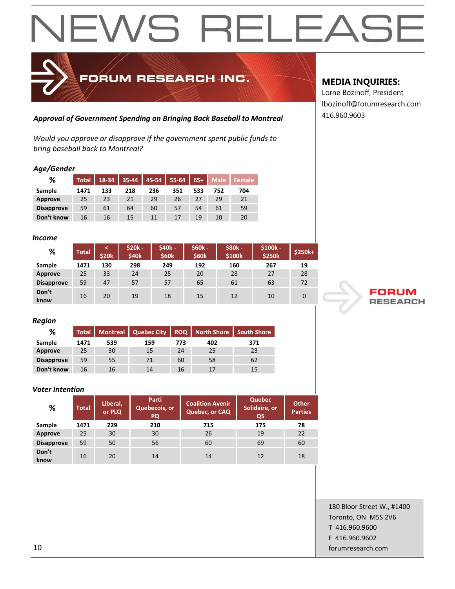## FORUM RESEARCH INC.

## 416.960.9603 *Approval of Government Spending on Bringing Back Baseball to Montreal*

*Would you approve or disapprove if the government spent public funds to bring baseball back to Montreal?*

#### *Age/Gender*

| %                 | <b>Total</b> | 18-34 | 35-44 | 45-54 | 55-64 | $65+$ | <b>Male</b> | Female |
|-------------------|--------------|-------|-------|-------|-------|-------|-------------|--------|
| Sample            | 1471         | 133   | 218   | 236   | 351   | 533   | 752         | 704    |
| Approve           | 25           | 23    | 21    | 29    | 26    | 27    | 29          | 21     |
| <b>Disapprove</b> | 59           | 61    | 64    | 60    | 57    | 54    | 61          | 59     |
| Don't know        | 16           | 16    | 15    | 11    | 17    | 19    | 10          | 20     |

#### *Income*

| %                 | <b>Total</b> | <b>\$20k</b> | $$20k -$<br>\$40k | \$40k -<br>\$60k | $$60k -$<br>\$80 <sub>k</sub> | \$80k -<br>\$100k | $$100k -$<br>\$250k | $$250k+$ |
|-------------------|--------------|--------------|-------------------|------------------|-------------------------------|-------------------|---------------------|----------|
| Sample            | 1471         | 130          | 298               | 249              | 192                           | 160               | 267                 | 19       |
| Approve           | 25           | 33           | 24                | 25               | 20                            | 28                | 27                  | 28       |
| <b>Disapprove</b> | 59           | 47           | 57                | 57               | 65                            | 61                | 63                  | 72       |
| Don't<br>know     | 16           | 20           | 19                | 18               | 15                            | 12                | 10                  |          |

#### *Region*

| %                 | Total <sup>'</sup> |     | Montreal   Quebec City |     | <b>ROQ</b>   North Shore | <b>South Shore</b> |
|-------------------|--------------------|-----|------------------------|-----|--------------------------|--------------------|
| Sample            | 1471               | 539 | 159                    | 773 | 402                      | 371                |
| Approve           | 25                 | 30  | 15                     | 24  | 25                       | 23                 |
| <b>Disapprove</b> | 59                 | 55  | 71                     | 60  | 58                       | 62                 |
| Don't know        | 16                 | 16  | 14                     | 16  |                          | 15                 |

#### *Voter Intention*

| %                 | <b>Total</b> | Liberal,<br>or PLQ | <b>Parti</b><br>Quebecois, or<br>PQ | <b>Coalition Avenir</b><br>Quebec, or CAQ | <b>Quebec</b><br>Solidaire, or<br>QS | <b>Other</b><br><b>Parties</b> |
|-------------------|--------------|--------------------|-------------------------------------|-------------------------------------------|--------------------------------------|--------------------------------|
| Sample            | 1471         | 229                | 210                                 | 715                                       | 175                                  | 78                             |
| Approve           | 25           | 30                 | 30                                  | 26                                        | 19                                   | 22                             |
| <b>Disapprove</b> | 59           | 50                 | 56                                  | 60                                        | 69                                   | 60                             |
| Don't<br>know     | 16           | 20                 | 14                                  | 14                                        | 12                                   | 18                             |

## **MEDIA INQUIRIES:**

Lorne Bozinoff, President lbozinoff@forumresearch.com



180 Bloor Street W., #1400 Toronto, ON M5S 2V6 T 416.960.9600 F 416.960.9602 10 forumresearch.com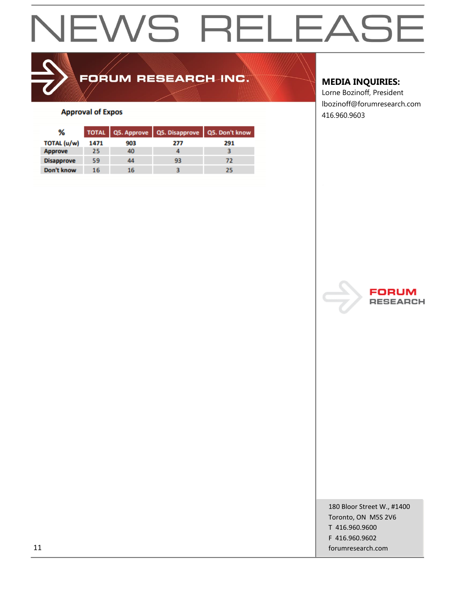## FORUM RESEARCH INC.

### **Approval of Expos**

| ℅                 |      |     | TOTAL Q5. Approve Q5. Disapprove Q5. Don't know |     |
|-------------------|------|-----|-------------------------------------------------|-----|
| TOTAL (u/w)       | 1471 | 903 | 277                                             | 291 |
| Approve           | 25   | 40  |                                                 |     |
| <b>Disapprove</b> | 59   | 44  | 93                                              | 72  |
| Don't know        | 16   | 16  |                                                 | 25  |

### **MEDIA INQUIRIES:**

Lorne Bozinoff, President lbozinoff@forumresearch.com 416.960.9603



180 Bloor Street W., #1400 Toronto, ON M5S 2V6 T 416.960.9600 F 416.960.9602 11 forumresearch.com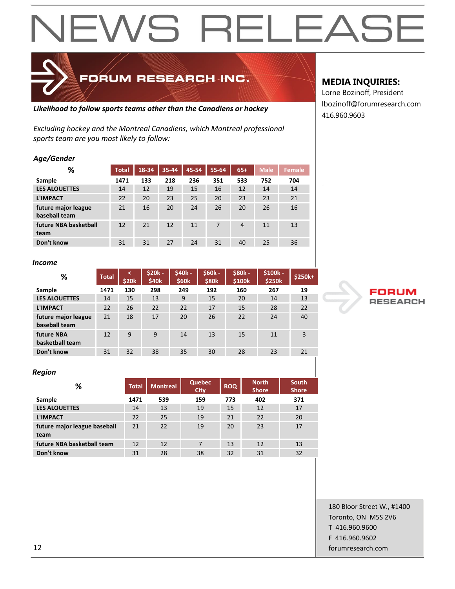## *sports team are you most likely to follow: Age/Gender*

| Ayu, uunuu                           |              |       |       |       |       |                |             |               |
|--------------------------------------|--------------|-------|-------|-------|-------|----------------|-------------|---------------|
| ℅                                    | <b>Total</b> | 18-34 | 35-44 | 45-54 | 55-64 | $65+$          | <b>Male</b> | <b>Female</b> |
| Sample                               | 1471         | 133   | 218   | 236   | 351   | 533            | 752         | 704           |
| <b>LES ALOUETTES</b>                 | 14           | 12    | 19    | 15    | 16    | 12             | 14          | 14            |
| <b>L'IMPACT</b>                      | 22           | 20    | 23    | 25    | 20    | 23             | 23          | 21            |
| future major league<br>baseball team | 21           | 16    | 20    | 24    | 26    | 20             | 26          | 16            |
| future NBA basketball<br>team        | 12           | 21    | 12    | 11    | 7     | $\overline{4}$ | 11          | 13            |
| Don't know                           | 31           | 31    | 27    | 24    | 31    | 40             | 25          | 36            |

*Likelihood to follow sports teams other than the Canadiens or hockey*

*Excluding hockey and the Montreal Canadiens, which Montreal professional* 

FORUM RESEARCH INC.

#### *Income*

| %                                    | <b>Total</b> | \$20k | \$20k -<br>\$40 <sub>k</sub> | \$40k -<br>\$60k | $$60k -$<br>\$80 <sub>k</sub> | \$80k -<br>\$100k | \$100k -<br>\$250k | $$250k+$ |
|--------------------------------------|--------------|-------|------------------------------|------------------|-------------------------------|-------------------|--------------------|----------|
| Sample                               | 1471         | 130   | 298                          | 249              | 192                           | 160               | 267                | 19       |
| <b>LES ALOUETTES</b>                 | 14           | 15    | 13                           | 9                | 15                            | 20                | 14                 | 13       |
| <b>L'IMPACT</b>                      | 22           | 26    | 22                           | 22               | 17                            | 15                | 28                 | 22       |
| future major league<br>baseball team | 21           | 18    | 17                           | 20               | 26                            | 22                | 24                 | 40       |
| future NBA<br>basketball team        | 12           | 9     | 9                            | 14               | 13                            | 15                | 11                 | 3        |
| Don't know                           | 31           | 32    | 38                           | 35               | 30                            | 28                | 23                 | 21       |

#### *Region*

| %                                    | <b>Total</b> | <b>Montreal</b> | <b>Quebec</b><br><b>City</b> | <b>ROQ</b> | <b>North</b><br><b>Shore</b> | <b>South</b><br><b>Shore</b> |
|--------------------------------------|--------------|-----------------|------------------------------|------------|------------------------------|------------------------------|
| Sample                               | 1471         | 539             | 159                          | 773        | 402                          | 371                          |
| <b>LES ALOUETTES</b>                 | 14           | 13              | 19                           | 15         | 12                           | 17                           |
| <b>L'IMPACT</b>                      | 22           | 25              | 19                           | 21         | 22                           | 20                           |
| future major league baseball<br>team | 21           | 22              | 19                           | 20         | 23                           | 17                           |
| future NBA basketball team           | 12           | 12              | 7                            | 13         | 12                           | 13                           |
| Don't know                           | 31           | 28              | 38                           | 32         | 31                           | 32                           |

### **MEDIA INQUIRIES:**

Lorne Bozinoff, President lbozinoff@forumresearch.com 416.960.9603



180 Bloor Street W., #1400 Toronto, ON M5S 2V6 T 416.960.9600 F 416.960.9602 12 forumresearch.com